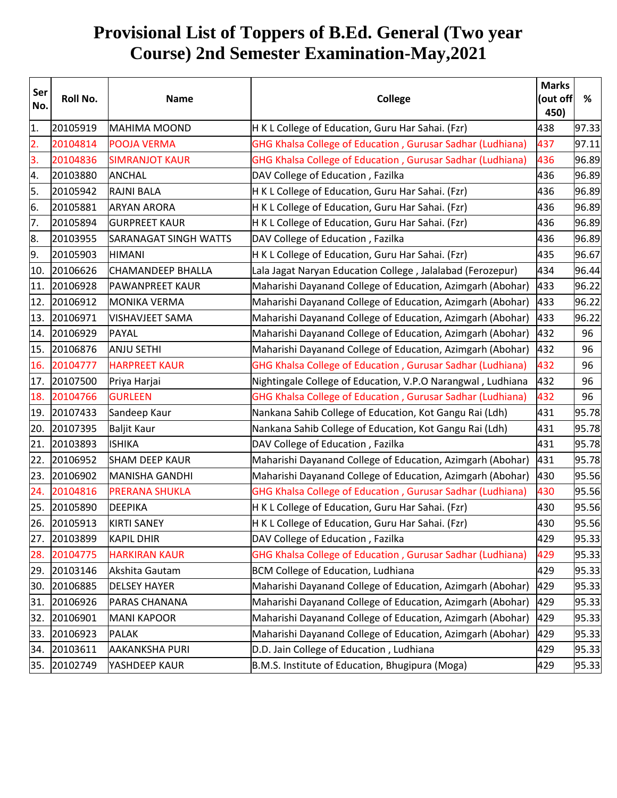## **Provisional List of Toppers of B.Ed. General (Two year Course) 2nd Semester Examination-May,2021**

| Ser<br>No.       | Roll No. | <b>Name</b>                  | <b>College</b>                                              |     | (out off<br>% |
|------------------|----------|------------------------------|-------------------------------------------------------------|-----|---------------|
| 1.               | 20105919 | <b>MAHIMA MOOND</b>          | H K L College of Education, Guru Har Sahai. (Fzr)           | 438 | 97.33         |
| $\overline{2}$ . | 20104814 | <b>POOJA VERMA</b>           | GHG Khalsa College of Education, Gurusar Sadhar (Ludhiana)  | 437 | 97.11         |
| 3.               | 20104836 | <b>SIMRANJOT KAUR</b>        | GHG Khalsa College of Education, Gurusar Sadhar (Ludhiana)  | 436 | 96.89         |
| 4.               | 20103880 | <b>ANCHAL</b>                | DAV College of Education, Fazilka                           | 436 | 96.89         |
| 5.               | 20105942 | <b>RAJNI BALA</b>            | H K L College of Education, Guru Har Sahai. (Fzr)           | 436 | 96.89         |
| 6.               | 20105881 | <b>ARYAN ARORA</b>           | H K L College of Education, Guru Har Sahai. (Fzr)           | 436 | 96.89         |
| 7.               | 20105894 | <b>GURPREET KAUR</b>         | H K L College of Education, Guru Har Sahai. (Fzr)           | 436 | 96.89         |
| 8.               | 20103955 | <b>SARANAGAT SINGH WATTS</b> | DAV College of Education, Fazilka                           | 436 | 96.89         |
| 9.               | 20105903 | <b>HIMANI</b>                | H K L College of Education, Guru Har Sahai. (Fzr)           | 435 | 96.67         |
| 10.              | 20106626 | CHAMANDEEP BHALLA            | Lala Jagat Naryan Education College, Jalalabad (Ferozepur)  | 434 | 96.44         |
| 11.              | 20106928 | <b>PAWANPREET KAUR</b>       | Maharishi Dayanand College of Education, Azimgarh (Abohar)  | 433 | 96.22         |
| 12.              | 20106912 | <b>MONIKA VERMA</b>          | Maharishi Dayanand College of Education, Azimgarh (Abohar)  | 433 | 96.22         |
| 13.              | 20106971 | <b>VISHAVJEET SAMA</b>       | Maharishi Dayanand College of Education, Azimgarh (Abohar)  | 433 | 96.22         |
| 14.              | 20106929 | <b>PAYAL</b>                 | Maharishi Dayanand College of Education, Azimgarh (Abohar)  | 432 | 96            |
| 15.              | 20106876 | <b>ANJU SETHI</b>            | Maharishi Dayanand College of Education, Azimgarh (Abohar)  | 432 | 96            |
| 16.              | 20104777 | <b>HARPREET KAUR</b>         | GHG Khalsa College of Education, Gurusar Sadhar (Ludhiana)  | 432 | 96            |
| 17.              | 20107500 | Priya Harjai                 | Nightingale College of Education, V.P.O Narangwal, Ludhiana | 432 | 96            |
| 18.              | 20104766 | <b>GURLEEN</b>               | GHG Khalsa College of Education, Gurusar Sadhar (Ludhiana)  | 432 | 96            |
| 19.              | 20107433 | Sandeep Kaur                 | Nankana Sahib College of Education, Kot Gangu Rai (Ldh)     | 431 | 95.78         |
| 20.              | 20107395 | Baljit Kaur                  | Nankana Sahib College of Education, Kot Gangu Rai (Ldh)     | 431 | 95.78         |
| 21.              | 20103893 | <b>ISHIKA</b>                | DAV College of Education, Fazilka                           | 431 | 95.78         |
| 22.              | 20106952 | <b>SHAM DEEP KAUR</b>        | Maharishi Dayanand College of Education, Azimgarh (Abohar)  | 431 | 95.78         |
| 23.              | 20106902 | MANISHA GANDHI               | Maharishi Dayanand College of Education, Azimgarh (Abohar)  | 430 | 95.56         |
| 24.              | 20104816 | <b>PRERANA SHUKLA</b>        | GHG Khalsa College of Education, Gurusar Sadhar (Ludhiana)  | 430 | 95.56         |
| 25.              | 20105890 | <b>DEEPIKA</b>               | H K L College of Education, Guru Har Sahai. (Fzr)           | 430 | 95.56         |
| 26.              | 20105913 | <b>KIRTI SANEY</b>           | H K L College of Education, Guru Har Sahai. (Fzr)           | 430 | 95.56         |
| 27.              | 20103899 | <b>KAPIL DHIR</b>            | DAV College of Education, Fazilka                           | 429 | 95.33         |
| 28.              | 20104775 | <b>HARKIRAN KAUR</b>         | GHG Khalsa College of Education, Gurusar Sadhar (Ludhiana)  | 429 | 95.33         |
| 29.              | 20103146 | Akshita Gautam               | <b>BCM College of Education, Ludhiana</b>                   | 429 | 95.33         |
| 30.              | 20106885 | <b>DELSEY HAYER</b>          | Maharishi Dayanand College of Education, Azimgarh (Abohar)  | 429 | 95.33         |
| 31.              | 20106926 | <b>PARAS CHANANA</b>         | Maharishi Dayanand College of Education, Azimgarh (Abohar)  | 429 | 95.33         |
| 32.              | 20106901 | <b>MANI KAPOOR</b>           | Maharishi Dayanand College of Education, Azimgarh (Abohar)  | 429 | 95.33         |
| 33.              | 20106923 | <b>PALAK</b>                 | Maharishi Dayanand College of Education, Azimgarh (Abohar)  | 429 | 95.33         |
| 34.              | 20103611 | <b>AAKANKSHA PURI</b>        | D.D. Jain College of Education, Ludhiana                    | 429 | 95.33         |
| 35.              | 20102749 | YASHDEEP KAUR                | B.M.S. Institute of Education, Bhugipura (Moga)             | 429 | 95.33         |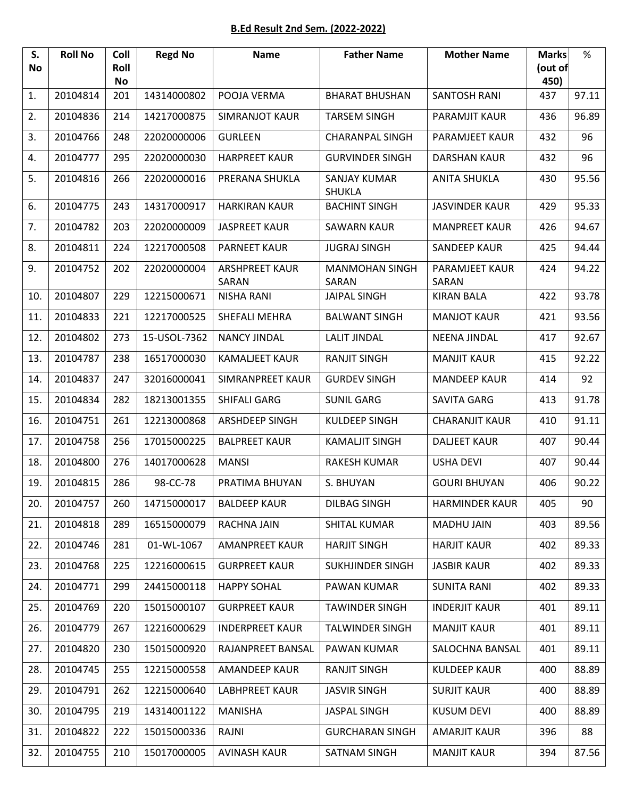## **B.Ed Result 2nd Sem. (2022-2022)**

| S.<br>No | <b>Roll No</b> | Coll<br>Roll<br><b>No</b> | <b>Regd No</b> | <b>Name</b>                    | <b>Father Name</b>                   | <b>Mother Name</b>      | <b>Marks</b><br>(out of<br>450) | %     |
|----------|----------------|---------------------------|----------------|--------------------------------|--------------------------------------|-------------------------|---------------------------------|-------|
| 1.       | 20104814       | 201                       | 14314000802    | POOJA VERMA                    | <b>BHARAT BHUSHAN</b>                | <b>SANTOSH RANI</b>     | 437                             | 97.11 |
| 2.       | 20104836       | 214                       | 14217000875    | <b>SIMRANJOT KAUR</b>          | <b>TARSEM SINGH</b>                  | PARAMJIT KAUR           | 436                             | 96.89 |
| 3.       | 20104766       | 248                       | 22020000006    | <b>GURLEEN</b>                 | <b>CHARANPAL SINGH</b>               | PARAMJEET KAUR          | 432                             | 96    |
| 4.       | 20104777       | 295                       | 22020000030    | <b>HARPREET KAUR</b>           | <b>GURVINDER SINGH</b>               | <b>DARSHAN KAUR</b>     | 432                             | 96    |
| 5.       | 20104816       | 266                       | 22020000016    | PRERANA SHUKLA                 | <b>SANJAY KUMAR</b><br><b>SHUKLA</b> | <b>ANITA SHUKLA</b>     | 430                             | 95.56 |
| 6.       | 20104775       | 243                       | 14317000917    | <b>HARKIRAN KAUR</b>           | <b>BACHINT SINGH</b>                 | <b>JASVINDER KAUR</b>   | 429                             | 95.33 |
| 7.       | 20104782       | 203                       | 22020000009    | <b>JASPREET KAUR</b>           | <b>SAWARN KAUR</b>                   | <b>MANPREET KAUR</b>    | 426                             | 94.67 |
| 8.       | 20104811       | 224                       | 12217000508    | <b>PARNEET KAUR</b>            | <b>JUGRAJ SINGH</b>                  | <b>SANDEEP KAUR</b>     | 425                             | 94.44 |
| 9.       | 20104752       | 202                       | 22020000004    | <b>ARSHPREET KAUR</b><br>SARAN | <b>MANMOHAN SINGH</b><br>SARAN       | PARAMJEET KAUR<br>SARAN | 424                             | 94.22 |
| 10.      | 20104807       | 229                       | 12215000671    | <b>NISHA RANI</b>              | <b>JAIPAL SINGH</b>                  | <b>KIRAN BALA</b>       | 422                             | 93.78 |
| 11.      | 20104833       | 221                       | 12217000525    | SHEFALI MEHRA                  | <b>BALWANT SINGH</b>                 | <b>MANJOT KAUR</b>      | 421                             | 93.56 |
| 12.      | 20104802       | 273                       | 15-USOL-7362   | <b>NANCY JINDAL</b>            | <b>LALIT JINDAL</b>                  | <b>NEENA JINDAL</b>     | 417                             | 92.67 |
| 13.      | 20104787       | 238                       | 16517000030    | <b>KAMALJEET KAUR</b>          | <b>RANJIT SINGH</b>                  | <b>MANJIT KAUR</b>      | 415                             | 92.22 |
| 14.      | 20104837       | 247                       | 32016000041    | SIMRANPREET KAUR               | <b>GURDEV SINGH</b>                  | <b>MANDEEP KAUR</b>     | 414                             | 92    |
| 15.      | 20104834       | 282                       | 18213001355    | SHIFALI GARG                   | <b>SUNIL GARG</b>                    | <b>SAVITA GARG</b>      | 413                             | 91.78 |
| 16.      | 20104751       | 261                       | 12213000868    | <b>ARSHDEEP SINGH</b>          | <b>KULDEEP SINGH</b>                 | <b>CHARANJIT KAUR</b>   | 410                             | 91.11 |
| 17.      | 20104758       | 256                       | 17015000225    | <b>BALPREET KAUR</b>           | <b>KAMALJIT SINGH</b>                | <b>DALJEET KAUR</b>     | 407                             | 90.44 |
| 18.      | 20104800       | 276                       | 14017000628    | <b>MANSI</b>                   | <b>RAKESH KUMAR</b>                  | <b>USHA DEVI</b>        | 407                             | 90.44 |
| 19.      | 20104815       | 286                       | 98-CC-78       | PRATIMA BHUYAN                 | S. BHUYAN                            | <b>GOURI BHUYAN</b>     | 406                             | 90.22 |
| 20.      | 20104757       | 260                       | 14715000017    | <b>BALDEEP KAUR</b>            | <b>DILBAG SINGH</b>                  | <b>HARMINDER KAUR</b>   | 405                             | 90    |
| 21.      | 20104818       | 289                       | 16515000079    | <b>RACHNA JAIN</b>             | <b>SHITAL KUMAR</b>                  | <b>MADHU JAIN</b>       | 403                             | 89.56 |
| 22.      | 20104746       | 281                       | 01-WL-1067     | <b>AMANPREET KAUR</b>          | <b>HARJIT SINGH</b>                  | <b>HARJIT KAUR</b>      | 402                             | 89.33 |
| 23.      | 20104768       | 225                       | 12216000615    | <b>GURPREET KAUR</b>           | <b>SUKHJINDER SINGH</b>              | <b>JASBIR KAUR</b>      | 402                             | 89.33 |
| 24.      | 20104771       | 299                       | 24415000118    | <b>HAPPY SOHAL</b>             | PAWAN KUMAR                          | <b>SUNITA RANI</b>      | 402                             | 89.33 |
| 25.      | 20104769       | 220                       | 15015000107    | <b>GURPREET KAUR</b>           | <b>TAWINDER SINGH</b>                | <b>INDERJIT KAUR</b>    | 401                             | 89.11 |
| 26.      | 20104779       | 267                       | 12216000629    | <b>INDERPREET KAUR</b>         | <b>TALWINDER SINGH</b>               | <b>MANJIT KAUR</b>      | 401                             | 89.11 |
| 27.      | 20104820       | 230                       | 15015000920    | RAJANPREET BANSAL              | PAWAN KUMAR                          | SALOCHNA BANSAL         | 401                             | 89.11 |
| 28.      | 20104745       | 255                       | 12215000558    | <b>AMANDEEP KAUR</b>           | <b>RANJIT SINGH</b>                  | <b>KULDEEP KAUR</b>     | 400                             | 88.89 |
| 29.      | 20104791       | 262                       | 12215000640    | <b>LABHPREET KAUR</b>          | <b>JASVIR SINGH</b>                  | <b>SURJIT KAUR</b>      | 400                             | 88.89 |
| 30.      | 20104795       | 219                       | 14314001122    | <b>MANISHA</b>                 | <b>JASPAL SINGH</b>                  | <b>KUSUM DEVI</b>       | 400                             | 88.89 |
| 31.      | 20104822       | 222                       | 15015000336    | RAJNI                          | <b>GURCHARAN SINGH</b>               | <b>AMARJIT KAUR</b>     | 396                             | 88    |
| 32.      | 20104755       | 210                       | 15017000005    | <b>AVINASH KAUR</b>            | SATNAM SINGH                         | <b>MANJIT KAUR</b>      | 394                             | 87.56 |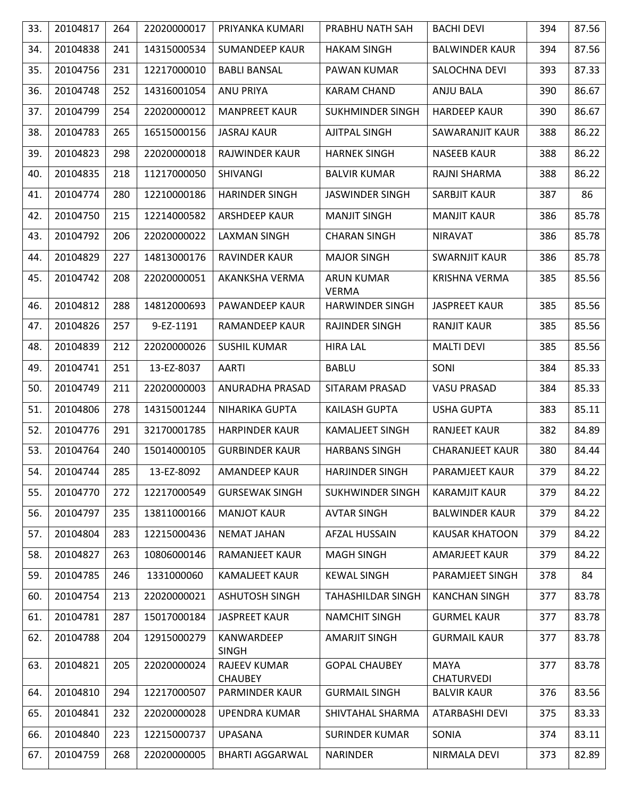| 33. | 20104817 | 264 | 22020000017 | PRIYANKA KUMARI                       | PRABHU NATH SAH                   | <b>BACHI DEVI</b>                | 394 | 87.56 |
|-----|----------|-----|-------------|---------------------------------------|-----------------------------------|----------------------------------|-----|-------|
| 34. | 20104838 | 241 | 14315000534 | <b>SUMANDEEP KAUR</b>                 | <b>HAKAM SINGH</b>                | <b>BALWINDER KAUR</b>            | 394 | 87.56 |
| 35. | 20104756 | 231 | 12217000010 | <b>BABLI BANSAL</b>                   | PAWAN KUMAR                       | SALOCHNA DEVI                    | 393 | 87.33 |
| 36. | 20104748 | 252 | 14316001054 | <b>ANU PRIYA</b>                      | <b>KARAM CHAND</b>                | <b>ANJU BALA</b>                 | 390 | 86.67 |
| 37. | 20104799 | 254 | 22020000012 | <b>MANPREET KAUR</b>                  | <b>SUKHMINDER SINGH</b>           | <b>HARDEEP KAUR</b>              | 390 | 86.67 |
| 38. | 20104783 | 265 | 16515000156 | <b>JASRAJ KAUR</b>                    | <b>AJITPAL SINGH</b>              | SAWARANJIT KAUR                  | 388 | 86.22 |
| 39. | 20104823 | 298 | 22020000018 | <b>RAJWINDER KAUR</b>                 | <b>HARNEK SINGH</b>               | <b>NASEEB KAUR</b>               | 388 | 86.22 |
| 40. | 20104835 | 218 | 11217000050 | SHIVANGI                              | <b>BALVIR KUMAR</b>               | RAJNI SHARMA                     | 388 | 86.22 |
| 41. | 20104774 | 280 | 12210000186 | <b>HARINDER SINGH</b>                 | <b>JASWINDER SINGH</b>            | <b>SARBJIT KAUR</b>              | 387 | 86    |
| 42. | 20104750 | 215 | 12214000582 | <b>ARSHDEEP KAUR</b>                  | <b>MANJIT SINGH</b>               | <b>MANJIT KAUR</b>               | 386 | 85.78 |
| 43. | 20104792 | 206 | 22020000022 | <b>LAXMAN SINGH</b>                   | <b>CHARAN SINGH</b>               | <b>NIRAVAT</b>                   | 386 | 85.78 |
| 44. | 20104829 | 227 | 14813000176 | <b>RAVINDER KAUR</b>                  | <b>MAJOR SINGH</b>                | <b>SWARNJIT KAUR</b>             | 386 | 85.78 |
| 45. | 20104742 | 208 | 22020000051 | AKANKSHA VERMA                        | <b>ARUN KUMAR</b><br><b>VERMA</b> | <b>KRISHNA VERMA</b>             | 385 | 85.56 |
| 46. | 20104812 | 288 | 14812000693 | PAWANDEEP KAUR                        | <b>HARWINDER SINGH</b>            | <b>JASPREET KAUR</b>             | 385 | 85.56 |
| 47. | 20104826 | 257 | 9-EZ-1191   | RAMANDEEP KAUR                        | <b>RAJINDER SINGH</b>             | <b>RANJIT KAUR</b>               | 385 | 85.56 |
| 48. | 20104839 | 212 | 22020000026 | <b>SUSHIL KUMAR</b>                   | <b>HIRA LAL</b>                   | <b>MALTI DEVI</b>                | 385 | 85.56 |
| 49. | 20104741 | 251 | 13-EZ-8037  | <b>AARTI</b>                          | <b>BABLU</b>                      | SONI                             | 384 | 85.33 |
| 50. | 20104749 | 211 | 22020000003 | ANURADHA PRASAD                       | SITARAM PRASAD                    | <b>VASU PRASAD</b>               | 384 | 85.33 |
| 51. | 20104806 | 278 | 14315001244 | NIHARIKA GUPTA                        | KAILASH GUPTA                     | <b>USHA GUPTA</b>                | 383 | 85.11 |
| 52. | 20104776 | 291 | 32170001785 | <b>HARPINDER KAUR</b>                 | <b>KAMALIEET SINGH</b>            | <b>RANJEET KAUR</b>              | 382 | 84.89 |
| 53. | 20104764 | 240 | 15014000105 | <b>GURBINDER KAUR</b>                 | <b>HARBANS SINGH</b>              | <b>CHARANJEET KAUR</b>           | 380 | 84.44 |
| 54. | 20104744 | 285 | 13-EZ-8092  | <b>AMANDEEP KAUR</b>                  | <b>HARJINDER SINGH</b>            | PARAMJEET KAUR                   | 379 | 84.22 |
| 55. | 20104770 | 272 | 12217000549 | <b>GURSEWAK SINGH</b>                 | <b>SUKHWINDER SINGH</b>           | <b>KARAMJIT KAUR</b>             | 379 | 84.22 |
| 56. | 20104797 | 235 | 13811000166 | <b>MANJOT KAUR</b>                    | <b>AVTAR SINGH</b>                | <b>BALWINDER KAUR</b>            | 379 | 84.22 |
| 57. | 20104804 | 283 | 12215000436 | <b>NEMAT JAHAN</b>                    | <b>AFZAL HUSSAIN</b>              | <b>KAUSAR KHATOON</b>            | 379 | 84.22 |
| 58. | 20104827 | 263 | 10806000146 | <b>RAMANJEET KAUR</b>                 | <b>MAGH SINGH</b>                 | AMARJEET KAUR                    | 379 | 84.22 |
| 59. | 20104785 | 246 | 1331000060  | <b>KAMALJEET KAUR</b>                 | <b>KEWAL SINGH</b>                | <b>PARAMJEET SINGH</b>           | 378 | 84    |
| 60. | 20104754 | 213 | 22020000021 | <b>ASHUTOSH SINGH</b>                 | <b>TAHASHILDAR SINGH</b>          | <b>KANCHAN SINGH</b>             | 377 | 83.78 |
| 61. | 20104781 | 287 | 15017000184 | <b>JASPREET KAUR</b>                  | <b>NAMCHIT SINGH</b>              | <b>GURMEL KAUR</b>               | 377 | 83.78 |
| 62. | 20104788 | 204 | 12915000279 | KANWARDEEP<br><b>SINGH</b>            | <b>AMARJIT SINGH</b>              | <b>GURMAIL KAUR</b>              | 377 | 83.78 |
| 63. | 20104821 | 205 | 22020000024 | <b>RAJEEV KUMAR</b><br><b>CHAUBEY</b> | <b>GOPAL CHAUBEY</b>              | <b>MAYA</b><br><b>CHATURVEDI</b> | 377 | 83.78 |
| 64. | 20104810 | 294 | 12217000507 | PARMINDER KAUR                        | <b>GURMAIL SINGH</b>              | <b>BALVIR KAUR</b>               | 376 | 83.56 |
| 65. | 20104841 | 232 | 22020000028 | <b>UPENDRA KUMAR</b>                  | SHIVTAHAL SHARMA                  | ATARBASHI DEVI                   | 375 | 83.33 |
| 66. | 20104840 | 223 | 12215000737 | <b>UPASANA</b>                        | <b>SURINDER KUMAR</b>             | SONIA                            | 374 | 83.11 |
| 67. | 20104759 | 268 | 22020000005 | <b>BHARTI AGGARWAL</b>                | <b>NARINDER</b>                   | NIRMALA DEVI                     | 373 | 82.89 |
|     |          |     |             |                                       |                                   |                                  |     |       |